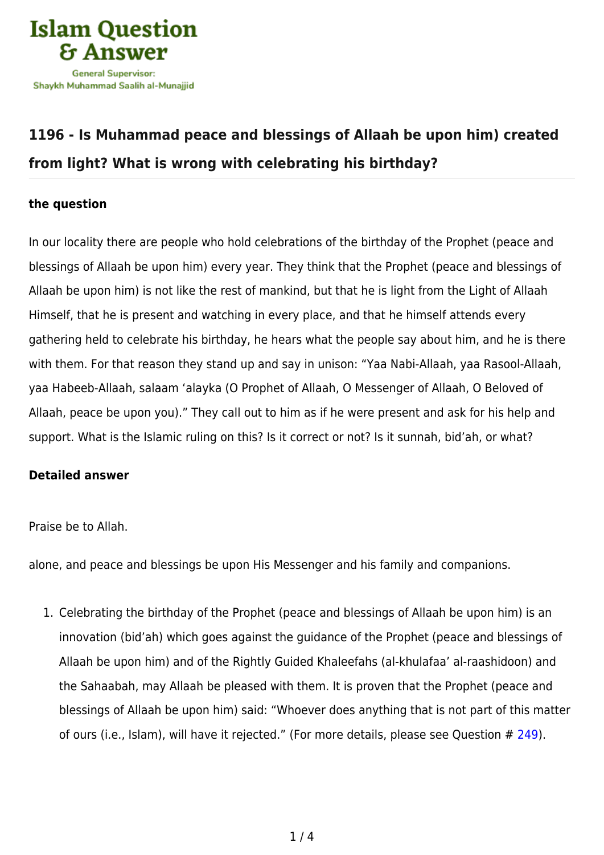

## **[1196 - Is Muhammad peace and blessings of Allaah be upon him\) created](https://islamqa.com/en/answers/1196/is-muhammad-peace-and-blessings-of-allaah-be-upon-him-created-from-light-what-is-wrong-with-celebrating-his-birthday) [from light? What is wrong with celebrating his birthday?](https://islamqa.com/en/answers/1196/is-muhammad-peace-and-blessings-of-allaah-be-upon-him-created-from-light-what-is-wrong-with-celebrating-his-birthday)**

## **the question**

In our locality there are people who hold celebrations of the birthday of the Prophet (peace and blessings of Allaah be upon him) every year. They think that the Prophet (peace and blessings of Allaah be upon him) is not like the rest of mankind, but that he is light from the Light of Allaah Himself, that he is present and watching in every place, and that he himself attends every gathering held to celebrate his birthday, he hears what the people say about him, and he is there with them. For that reason they stand up and say in unison: "Yaa Nabi-Allaah, yaa Rasool-Allaah, yaa Habeeb-Allaah, salaam 'alayka (O Prophet of Allaah, O Messenger of Allaah, O Beloved of Allaah, peace be upon you)." They call out to him as if he were present and ask for his help and support. What is the Islamic ruling on this? Is it correct or not? Is it sunnah, bid'ah, or what?

## **Detailed answer**

Praise be to Allah.

alone, and peace and blessings be upon His Messenger and his family and companions.

1. Celebrating the birthday of the Prophet (peace and blessings of Allaah be upon him) is an innovation (bid'ah) which goes against the guidance of the Prophet (peace and blessings of Allaah be upon him) and of the Rightly Guided Khaleefahs (al-khulafaa' al-raashidoon) and the Sahaabah, may Allaah be pleased with them. It is proven that the Prophet (peace and blessings of Allaah be upon him) said: "Whoever does anything that is not part of this matter of ours (i.e., Islam), will have it rejected." (For more details, please see Question # [249\)](https://islamqa.com/en/answers/249).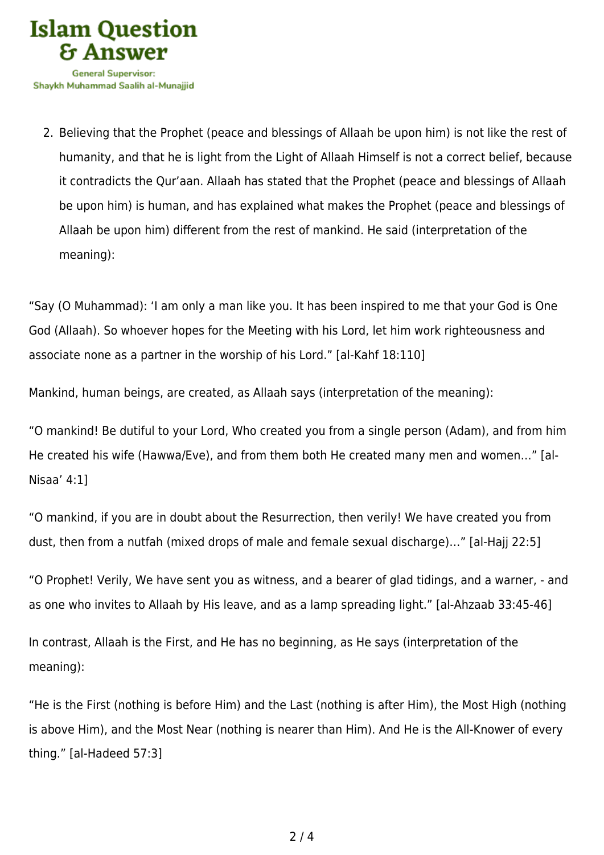

2. Believing that the Prophet (peace and blessings of Allaah be upon him) is not like the rest of humanity, and that he is light from the Light of Allaah Himself is not a correct belief, because it contradicts the Qur'aan. Allaah has stated that the Prophet (peace and blessings of Allaah be upon him) is human, and has explained what makes the Prophet (peace and blessings of Allaah be upon him) different from the rest of mankind. He said (interpretation of the meaning):

"Say (O Muhammad): 'I am only a man like you. It has been inspired to me that your God is One God (Allaah). So whoever hopes for the Meeting with his Lord, let him work righteousness and associate none as a partner in the worship of his Lord." [al-Kahf 18:110]

Mankind, human beings, are created, as Allaah says (interpretation of the meaning):

"O mankind! Be dutiful to your Lord, Who created you from a single person (Adam), and from him He created his wife (Hawwa/Eve), and from them both He created many men and women…" [al-Nisaa' 4:1]

"O mankind, if you are in doubt about the Resurrection, then verily! We have created you from dust, then from a nutfah (mixed drops of male and female sexual discharge)…" [al-Hajj 22:5]

"O Prophet! Verily, We have sent you as witness, and a bearer of glad tidings, and a warner, - and as one who invites to Allaah by His leave, and as a lamp spreading light." [al-Ahzaab 33:45-46]

In contrast, Allaah is the First, and He has no beginning, as He says (interpretation of the meaning):

"He is the First (nothing is before Him) and the Last (nothing is after Him), the Most High (nothing is above Him), and the Most Near (nothing is nearer than Him). And He is the All-Knower of every thing." [al-Hadeed 57:3]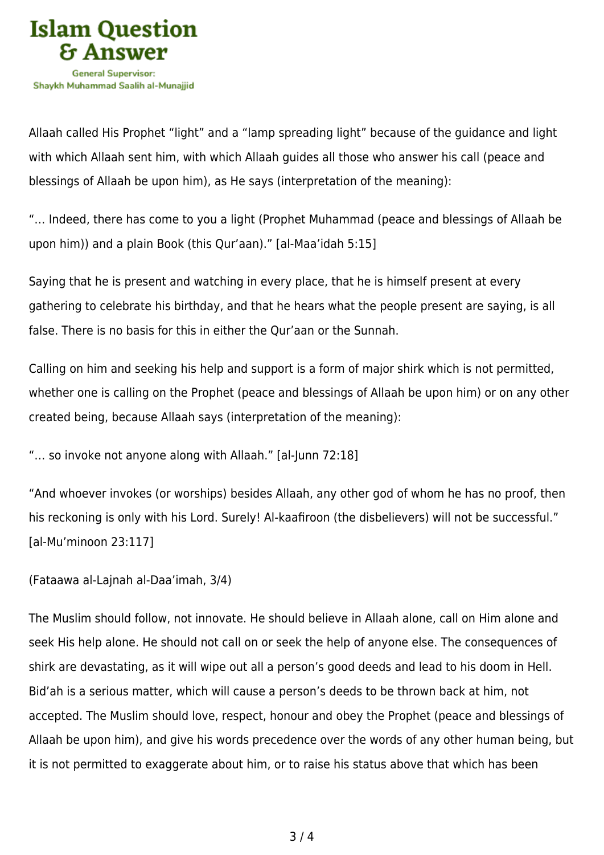

Allaah called His Prophet "light" and a "lamp spreading light" because of the guidance and light with which Allaah sent him, with which Allaah guides all those who answer his call (peace and blessings of Allaah be upon him), as He says (interpretation of the meaning):

"… Indeed, there has come to you a light (Prophet Muhammad (peace and blessings of Allaah be upon him)) and a plain Book (this Qur'aan)." [al-Maa'idah 5:15]

Saying that he is present and watching in every place, that he is himself present at every gathering to celebrate his birthday, and that he hears what the people present are saying, is all false. There is no basis for this in either the Qur'aan or the Sunnah.

Calling on him and seeking his help and support is a form of major shirk which is not permitted, whether one is calling on the Prophet (peace and blessings of Allaah be upon him) or on any other created being, because Allaah says (interpretation of the meaning):

"… so invoke not anyone along with Allaah." [al-Junn 72:18]

"And whoever invokes (or worships) besides Allaah, any other god of whom he has no proof, then his reckoning is only with his Lord. Surely! Al-kaafiroon (the disbelievers) will not be successful." [al-Mu'minoon 23:117]

(Fataawa al-Lajnah al-Daa'imah, 3/4)

The Muslim should follow, not innovate. He should believe in Allaah alone, call on Him alone and seek His help alone. He should not call on or seek the help of anyone else. The consequences of shirk are devastating, as it will wipe out all a person's good deeds and lead to his doom in Hell. Bid'ah is a serious matter, which will cause a person's deeds to be thrown back at him, not accepted. The Muslim should love, respect, honour and obey the Prophet (peace and blessings of Allaah be upon him), and give his words precedence over the words of any other human being, but it is not permitted to exaggerate about him, or to raise his status above that which has been